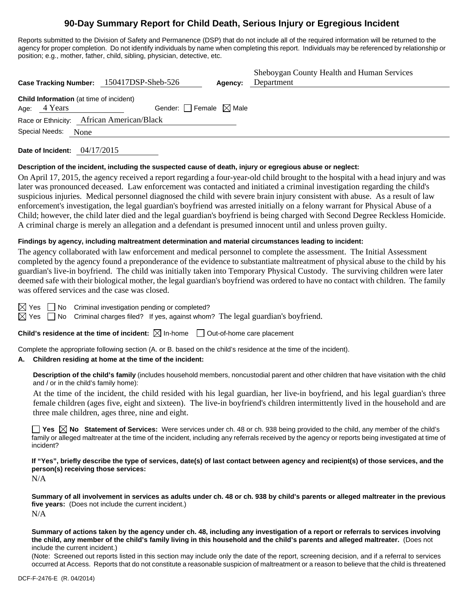# **90-Day Summary Report for Child Death, Serious Injury or Egregious Incident**

Reports submitted to the Division of Safety and Permanence (DSP) that do not include all of the required information will be returned to the agency for proper completion. Do not identify individuals by name when completing this report. Individuals may be referenced by relationship or position; e.g., mother, father, child, sibling, physician, detective, etc.

|                                                                | Case Tracking Number: 150417DSP-Sheb-526  | Agency: | Sheboygan County Health and Human Services<br>Department |
|----------------------------------------------------------------|-------------------------------------------|---------|----------------------------------------------------------|
| <b>Child Information</b> (at time of incident)<br>Age: 4 Years | Gender: Female $\boxtimes$ Male           |         |                                                          |
| Special Needs:<br>None                                         | Race or Ethnicity: African American/Black |         |                                                          |

**Date of Incident:** 04/17/2015

## **Description of the incident, including the suspected cause of death, injury or egregious abuse or neglect:**

On April 17, 2015, the agency received a report regarding a four-year-old child brought to the hospital with a head injury and was later was pronounced deceased. Law enforcement was contacted and initiated a criminal investigation regarding the child's suspicious injuries. Medical personnel diagnosed the child with severe brain injury consistent with abuse. As a result of law enforcement's investigation, the legal guardian's boyfriend was arrested initially on a felony warrant for Physical Abuse of a Child; however, the child later died and the legal guardian's boyfriend is being charged with Second Degree Reckless Homicide. A criminal charge is merely an allegation and a defendant is presumed innocent until and unless proven guilty.

#### **Findings by agency, including maltreatment determination and material circumstances leading to incident:**

The agency collaborated with law enforcement and medical personnel to complete the assessment. The Initial Assessment completed by the agency found a preponderance of the evidence to substantiate maltreatment of physical abuse to the child by his guardian's live-in boyfriend. The child was initially taken into Temporary Physical Custody. The surviving children were later deemed safe with their biological mother, the legal guardian's boyfriend was ordered to have no contact with children. The family was offered services and the case was closed.

 $\boxtimes$  Yes  $\Box$  No Criminal investigation pending or completed?

 $\boxtimes$  Yes  $\Box$  No Criminal charges filed? If yes, against whom? The legal guardian's boyfriend.

**Child's residence at the time of incident:** ⊠ In-home □ Out-of-home care placement

Complete the appropriate following section (A. or B. based on the child's residence at the time of the incident).

## **A. Children residing at home at the time of the incident:**

**Description of the child's family** (includes household members, noncustodial parent and other children that have visitation with the child and / or in the child's family home):

 At the time of the incident, the child resided with his legal guardian, her live-in boyfriend, and his legal guardian's three female children (ages five, eight and sixteen). The live-in boyfriend's children intermittently lived in the household and are three male children, ages three, nine and eight.

**Yes No Statement of Services:** Were services under ch. 48 or ch. 938 being provided to the child, any member of the child's family or alleged maltreater at the time of the incident, including any referrals received by the agency or reports being investigated at time of incident?

**If "Yes", briefly describe the type of services, date(s) of last contact between agency and recipient(s) of those services, and the person(s) receiving those services:** 

N/A

**Summary of all involvement in services as adults under ch. 48 or ch. 938 by child's parents or alleged maltreater in the previous five years:** (Does not include the current incident.) N/A

**Summary of actions taken by the agency under ch. 48, including any investigation of a report or referrals to services involving the child, any member of the child's family living in this household and the child's parents and alleged maltreater.** (Does not include the current incident.)

(Note: Screened out reports listed in this section may include only the date of the report, screening decision, and if a referral to services occurred at Access. Reports that do not constitute a reasonable suspicion of maltreatment or a reason to believe that the child is threatened